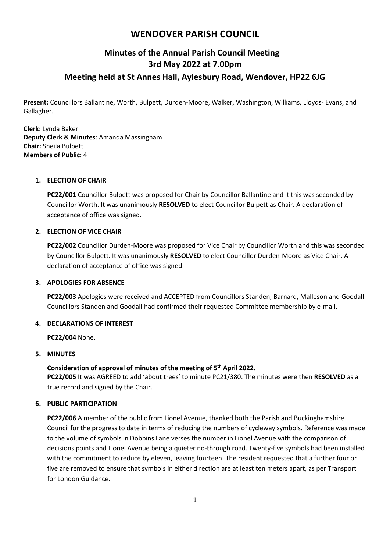# **WENDOVER PARISH COUNCIL**

## **Minutes of the Annual Parish Council Meeting 3rd May 2022 at 7.00pm Meeting held at St Annes Hall, Aylesbury Road, Wendover, HP22 6JG**

**Present:** Councillors Ballantine, Worth, Bulpett, Durden-Moore, Walker, Washington, Williams, Lloyds- Evans, and Gallagher.

**Clerk:** Lynda Baker **Deputy Clerk & Minutes**: Amanda Massingham **Chair:** Sheila Bulpett **Members of Public**: 4

## **1. ELECTION OF CHAIR**

**PC22/001** Councillor Bulpett was proposed for Chair by Councillor Ballantine and it this was seconded by Councillor Worth. It was unanimously **RESOLVED** to elect Councillor Bulpett as Chair. A declaration of acceptance of office was signed.

## **2. ELECTION OF VICE CHAIR**

**PC22/002** Councillor Durden-Moore was proposed for Vice Chair by Councillor Worth and this was seconded by Councillor Bulpett. It was unanimously **RESOLVED** to elect Councillor Durden-Moore as Vice Chair. A declaration of acceptance of office was signed.

## **3. APOLOGIES FOR ABSENCE**

**PC22/003** Apologies were received and ACCEPTED from Councillors Standen, Barnard, Malleson and Goodall. Councillors Standen and Goodall had confirmed their requested Committee membership by e-mail.

## **4. DECLARATIONS OF INTEREST**

**PC22/004** None**.** 

## **5. MINUTES**

## **Consideration of approval of minutes of the meeting of 5 th April 2022.**

**PC22/005** It was AGREED to add 'about trees' to minute PC21/380. The minutes were then **RESOLVED** as a true record and signed by the Chair.

## **6. PUBLIC PARTICIPATION**

**PC22/006** A member of the public from Lionel Avenue, thanked both the Parish and Buckinghamshire Council for the progress to date in terms of reducing the numbers of cycleway symbols. Reference was made to the volume of symbols in Dobbins Lane verses the number in Lionel Avenue with the comparison of decisions points and Lionel Avenue being a quieter no-through road. Twenty-five symbols had been installed with the commitment to reduce by eleven, leaving fourteen. The resident requested that a further four or five are removed to ensure that symbols in either direction are at least ten meters apart, as per Transport for London Guidance.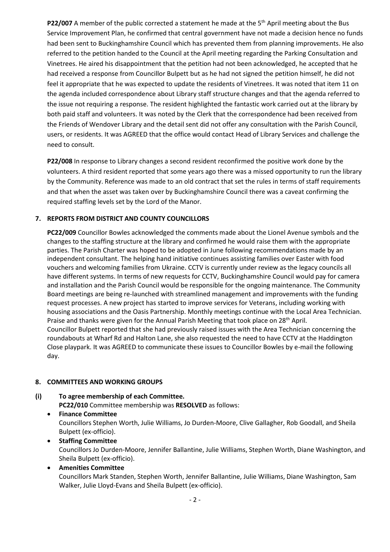**P22/007** A member of the public corrected a statement he made at the 5<sup>th</sup> April meeting about the Bus Service Improvement Plan, he confirmed that central government have not made a decision hence no funds had been sent to Buckinghamshire Council which has prevented them from planning improvements. He also referred to the petition handed to the Council at the April meeting regarding the Parking Consultation and Vinetrees. He aired his disappointment that the petition had not been acknowledged, he accepted that he had received a response from Councillor Bulpett but as he had not signed the petition himself, he did not feel it appropriate that he was expected to update the residents of Vinetrees. It was noted that item 11 on the agenda included correspondence about Library staff structure changes and that the agenda referred to the issue not requiring a response. The resident highlighted the fantastic work carried out at the library by both paid staff and volunteers. It was noted by the Clerk that the correspondence had been received from the Friends of Wendover Library and the detail sent did not offer any consultation with the Parish Council, users, or residents. It was AGREED that the office would contact Head of Library Services and challenge the need to consult.

**P22/008** In response to Library changes a second resident reconfirmed the positive work done by the volunteers. A third resident reported that some years ago there was a missed opportunity to run the library by the Community. Reference was made to an old contract that set the rules in terms of staff requirements and that when the asset was taken over by Buckinghamshire Council there was a caveat confirming the required staffing levels set by the Lord of the Manor.

## **7. REPORTS FROM DISTRICT AND COUNTY COUNCILLORS**

**PC22/009** Councillor Bowles acknowledged the comments made about the Lionel Avenue symbols and the changes to the staffing structure at the library and confirmed he would raise them with the appropriate parties. The Parish Charter was hoped to be adopted in June following recommendations made by an independent consultant. The helping hand initiative continues assisting families over Easter with food vouchers and welcoming families from Ukraine. CCTV is currently under review as the legacy councils all have different systems. In terms of new requests for CCTV, Buckinghamshire Council would pay for camera and installation and the Parish Council would be responsible for the ongoing maintenance. The Community Board meetings are being re-launched with streamlined management and improvements with the funding request processes. A new project has started to improve services for Veterans, including working with housing associations and the Oasis Partnership. Monthly meetings continue with the Local Area Technician. Praise and thanks were given for the Annual Parish Meeting that took place on 28<sup>th</sup> April. Councillor Bulpett reported that she had previously raised issues with the Area Technician concerning the roundabouts at Wharf Rd and Halton Lane, she also requested the need to have CCTV at the Haddington Close playpark. It was AGREED to communicate these issues to Councillor Bowles by e-mail the following day.

#### **8. COMMITTEES AND WORKING GROUPS**

- **(i) To agree membership of each Committee. PC22/010** Committee membership was **RESOLVED** as follows:
	- **Finance Committee** Councillors Stephen Worth, Julie Williams, Jo Durden-Moore, Clive Gallagher, Rob Goodall, and Sheila Bulpett (ex-officio).
	- **Staffing Committee** Councillors Jo Durden-Moore, Jennifer Ballantine, Julie Williams, Stephen Worth, Diane Washington, and Sheila Bulpett (ex-officio).
	- **Amenities Committee** Councillors Mark Standen, Stephen Worth, Jennifer Ballantine, Julie Williams, Diane Washington, Sam Walker, Julie Lloyd-Evans and Sheila Bulpett (ex-officio).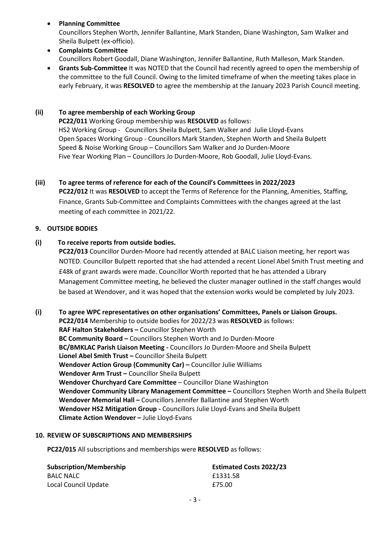- **Planning Committee** Councillors Stephen Worth, Jennifer Ballantine, Mark Standen, Diane Washington, Sam Walker and Sheila Bulpett (ex-officio).
- **Complaints Committee** Councillors Robert Goodall, Diane Washington, Jennifer Ballantine, Ruth Malleson, Mark Standen.
- **Grants Sub-Committee** It was NOTED that the Council had recently agreed to open the membership of the committee to the full Council. Owing to the limited timeframe of when the meeting takes place in early February, it was **RESOLVED** to agree the membership at the January 2023 Parish Council meeting.

## **(ii) To agree membership of each Working Group**

 **PC22/011** Working Group membership was **RESOLVED** as follows: HS2 Working Group - Councillors Sheila Bulpett, Sam Walker and Julie Lloyd-Evans Open Spaces Working Group - Councillors Mark Standen, Stephen Worth and Sheila Bulpett Speed & Noise Working Group – Councillors Sam Walker and Jo Durden-Moore Five Year Working Plan – Councillors Jo Durden-Moore, Rob Goodall, Julie Lloyd-Evans.

## **(iii) To agree terms of reference for each of the Council's Committees in 2022/2023**

**PC22/012** It was **RESOLVED** to accept the Terms of Reference for the Planning, Amenities, Staffing, Finance, Grants Sub-Committee and Complaints Committees with the changes agreed at the last meeting of each committee in 2021/22.

## **9. OUTSIDE BODIES**

## **(i) To receive reports from outside bodies.**

**PC22/013** Councillor Durden-Moore had recently attended at BALC Liaison meeting, her report was NOTED. Councillor Bulpett reported that she had attended a recent Lionel Abel Smith Trust meeting and £48k of grant awards were made. Councillor Worth reported that he has attended a Library Management Committee meeting, he believed the cluster manager outlined in the staff changes would be based at Wendover, and it was hoped that the extension works would be completed by July 2023.

**(i) To agree WPC representatives on other organisations' Committees, Panels or Liaison Groups. PC22/014** Membership to outside bodies for 2022/23 was **RESOLVED** as follows: **RAF Halton Stakeholders –** Councillor Stephen Worth **BC Community Board –** Councillors Stephen Worth and Jo Durden-Moore **BC/BMKLAC Parish Liaison Meeting -** Councillors Jo Durden-Moore and Sheila Bulpett **Lionel Abel Smith Trust –** Councillor Sheila Bulpett **Wendover Action Group (Community Car) –** Councillor Julie Williams **Wendover Arm Trust –** Councillor Sheila Bulpett **Wendover Churchyard Care Committee** – Councillor Diane Washington **Wendover Community Library Management Committee –** Councillors Stephen Worth and Sheila Bulpett **Wendover Memorial Hall –** Councillors Jennifer Ballantine and Stephen Worth **Wendover HS2 Mitigation Group -** Councillors Julie Lloyd-Evans and Sheila Bulpett **Climate Action Wendover –** Julie Lloyd-Evans

#### **10. REVIEW OF SUBSCRIPTIONS AND MEMBERSHIPS**

**PC22/015** All subscriptions and memberships were **RESOLVED** as follows:

| <b>Subscription/Membership</b> | <b>Estimated Costs 2022/23</b> |
|--------------------------------|--------------------------------|
| BALC NALC                      | £1331.58                       |
| Local Council Update           | £75.00                         |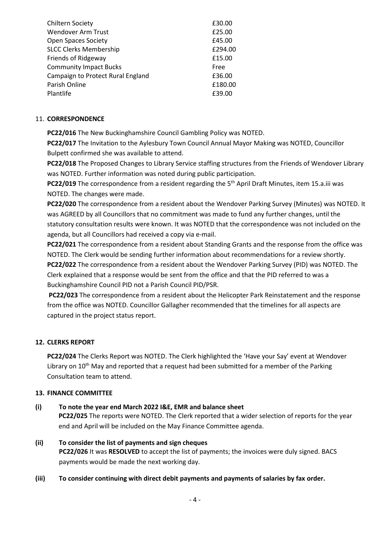| <b>Chiltern Society</b>           | £30.00  |
|-----------------------------------|---------|
| <b>Wendover Arm Trust</b>         | £25.00  |
| <b>Open Spaces Society</b>        | £45.00  |
| <b>SLCC Clerks Membership</b>     | £294.00 |
| Friends of Ridgeway               | £15.00  |
| <b>Community Impact Bucks</b>     | Free    |
| Campaign to Protect Rural England | £36.00  |
| Parish Online                     | £180.00 |
| Plantlife                         | £39.00  |

## 11. **CORRESPONDENCE**

**PC22/016** The New Buckinghamshire Council Gambling Policy was NOTED.

**PC22/017** The Invitation to the Aylesbury Town Council Annual Mayor Making was NOTED, Councillor Bulpett confirmed she was available to attend.

**PC22/018** The Proposed Changes to Library Service staffing structures from the Friends of Wendover Library was NOTED. Further information was noted during public participation.

PC22/019 The correspondence from a resident regarding the 5<sup>th</sup> April Draft Minutes, item 15.a.iii was NOTED. The changes were made.

**PC22/020** The correspondence from a resident about the Wendover Parking Survey (Minutes) was NOTED. It was AGREED by all Councillors that no commitment was made to fund any further changes, until the statutory consultation results were known. It was NOTED that the correspondence was not included on the agenda, but all Councillors had received a copy via e-mail.

**PC22/021** The correspondence from a resident about Standing Grants and the response from the office was NOTED. The Clerk would be sending further information about recommendations for a review shortly. **PC22/022** The correspondence from a resident about the Wendover Parking Survey (PID) was NOTED. The Clerk explained that a response would be sent from the office and that the PID referred to was a Buckinghamshire Council PID not a Parish Council PID/PSR.

**PC22/023** The correspondence from a resident about the Helicopter Park Reinstatement and the response from the office was NOTED. Councillor Gallagher recommended that the timelines for all aspects are captured in the project status report.

## **12. CLERKS REPORT**

**PC22/024** The Clerks Report was NOTED. The Clerk highlighted the 'Have your Say' event at Wendover Library on  $10^{th}$  May and reported that a request had been submitted for a member of the Parking Consultation team to attend.

#### **13. FINANCE COMMITTEE**

# **(i) To note the year end March 2022 I&E, EMR and balance sheet**

 **PC22/025** The reports were NOTED. The Clerk reported that a wider selection of reports for the year end and April will be included on the May Finance Committee agenda.

- **(ii) To consider the list of payments and sign cheques PC22/026** It was **RESOLVED** to accept the list of payments; the invoices were duly signed. BACS payments would be made the next working day.
- **(iii) To consider continuing with direct debit payments and payments of salaries by fax order.**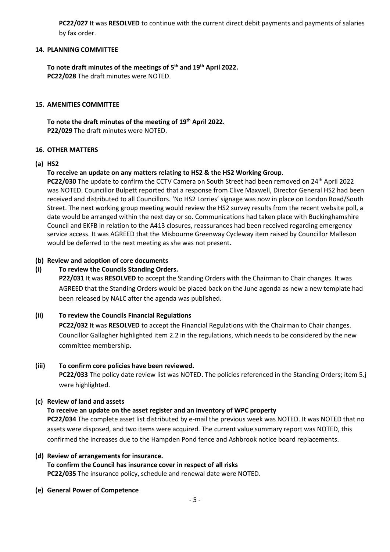**PC22/027** It was **RESOLVED** to continue with the current direct debit payments and payments of salaries by fax order.

#### **14. PLANNING COMMITTEE**

**To note draft minutes of the meetings of 5 th and 19th April 2022. PC22/028** The draft minutes were NOTED.

#### **15. AMENITIES COMMITTEE**

**To note the draft minutes of the meeting of 19th April 2022. P22/029** The draft minutes were NOTED.

#### **16. OTHER MATTERS**

#### **(a) HS2**

#### **To receive an update on any matters relating to HS2 & the HS2 Working Group.**

**PC22/030** The update to confirm the CCTV Camera on South Street had been removed on 24<sup>th</sup> April 2022 was NOTED. Councillor Bulpett reported that a response from Clive Maxwell, Director General HS2 had been received and distributed to all Councillors. 'No HS2 Lorries' signage was now in place on London Road/South Street. The next working group meeting would review the HS2 survey results from the recent website poll, a date would be arranged within the next day or so. Communications had taken place with Buckinghamshire Council and EKFB in relation to the A413 closures, reassurances had been received regarding emergency service access. It was AGREED that the Misbourne Greenway Cycleway item raised by Councillor Malleson would be deferred to the next meeting as she was not present.

#### **(b) Review and adoption of core documents**

#### **(i) To review the Councils Standing Orders.**

**P22/031** It was **RESOLVED** to accept the Standing Orders with the Chairman to Chair changes. It was AGREED that the Standing Orders would be placed back on the June agenda as new a new template had been released by NALC after the agenda was published.

#### **(ii) To review the Councils Financial Regulations**

**PC22/032** It was **RESOLVED** to accept the Financial Regulations with the Chairman to Chair changes. Councillor Gallagher highlighted item 2.2 in the regulations, which needs to be considered by the new committee membership.

#### **(iii) To confirm core policies have been reviewed.**

**PC22/033** The policy date review list was NOTED**.** The policies referenced in the Standing Orders; item 5.j were highlighted.

#### **(c) Review of land and assets**

#### **To receive an update on the asset register and an inventory of WPC property**

**PC22/034** The complete asset list distributed by e-mail the previous week was NOTED. It was NOTED that no assets were disposed, and two items were acquired. The current value summary report was NOTED, this confirmed the increases due to the Hampden Pond fence and Ashbrook notice board replacements.

#### **(d) Review of arrangements for insurance. To confirm the Council has insurance cover in respect of all risks PC22/035** The insurance policy, schedule and renewal date were NOTED.

**(e) General Power of Competence**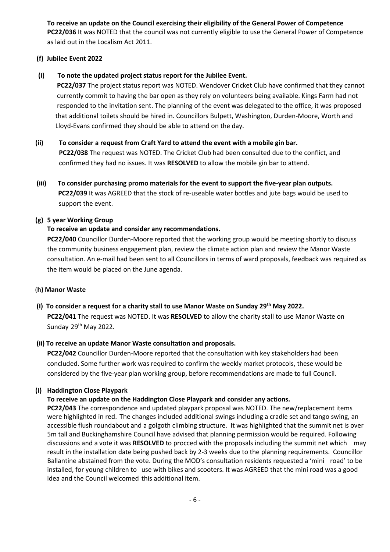**To receive an update on the Council exercising their eligibility of the General Power of Competence PC22/036** It was NOTED that the council was not currently eligible to use the General Power of Competence as laid out in the Localism Act 2011.

## **(f) Jubilee Event 2022**

## **(i) To note the updated project status report for the Jubilee Event.**

 **PC22/037** The project status report was NOTED. Wendover Cricket Club have confirmed that they cannot currently commit to having the bar open as they rely on volunteers being available. Kings Farm had not responded to the invitation sent. The planning of the event was delegated to the office, it was proposed that additional toilets should be hired in. Councillors Bulpett, Washington, Durden-Moore, Worth and Lloyd-Evans confirmed they should be able to attend on the day.

- **(ii) To consider a request from Craft Yard to attend the event with a mobile gin bar. PC22/038** The request was NOTED. The Cricket Club had been consulted due to the conflict, and confirmed they had no issues. It was **RESOLVED** to allow the mobile gin bar to attend.
- **(iii) To consider purchasing promo materials for the event to support the five-year plan outputs. PC22/039** It was AGREED that the stock of re-useable water bottles and jute bags would be used to support the event.

## **(g) 5 year Working Group**

## **To receive an update and consider any recommendations.**

**PC22/040** Councillor Durden-Moore reported that the working group would be meeting shortly to discuss the community business engagement plan, review the climate action plan and review the Manor Waste consultation. An e-mail had been sent to all Councillors in terms of ward proposals, feedback was required as the item would be placed on the June agenda.

#### (**h) Manor Waste**

 **(I) To consider a request for a charity stall to use Manor Waste on Sunday 29th May 2022. PC22/041** The request was NOTED. It was **RESOLVED** to allow the charity stall to use Manor Waste on Sunday 29<sup>th</sup> May 2022.

## **(ii) To receive an update Manor Waste consultation and proposals.**

**PC22/042** Councillor Durden-Moore reported that the consultation with key stakeholders had been concluded. Some further work was required to confirm the weekly market protocols, these would be considered by the five-year plan working group, before recommendations are made to full Council.

## **(i) Haddington Close Playpark**

## **To receive an update on the Haddington Close Playpark and consider any actions.**

**PC22/043** The correspondence and updated playpark proposal was NOTED. The new/replacement items were highlighted in red. The changes included additional swings including a cradle set and tango swing, an accessible flush roundabout and a golgoth climbing structure. It was highlighted that the summit net is over 5m tall and Buckinghamshire Council have advised that planning permission would be required. Following discussions and a vote it was **RESOLVED** to procced with the proposals including the summit net which may result in the installation date being pushed back by 2-3 weeks due to the planning requirements. Councillor Ballantine abstained from the vote. During the MOD's consultation residents requested a 'mini road' to be installed, for young children to use with bikes and scooters. It was AGREED that the mini road was a good idea and the Council welcomed this additional item.